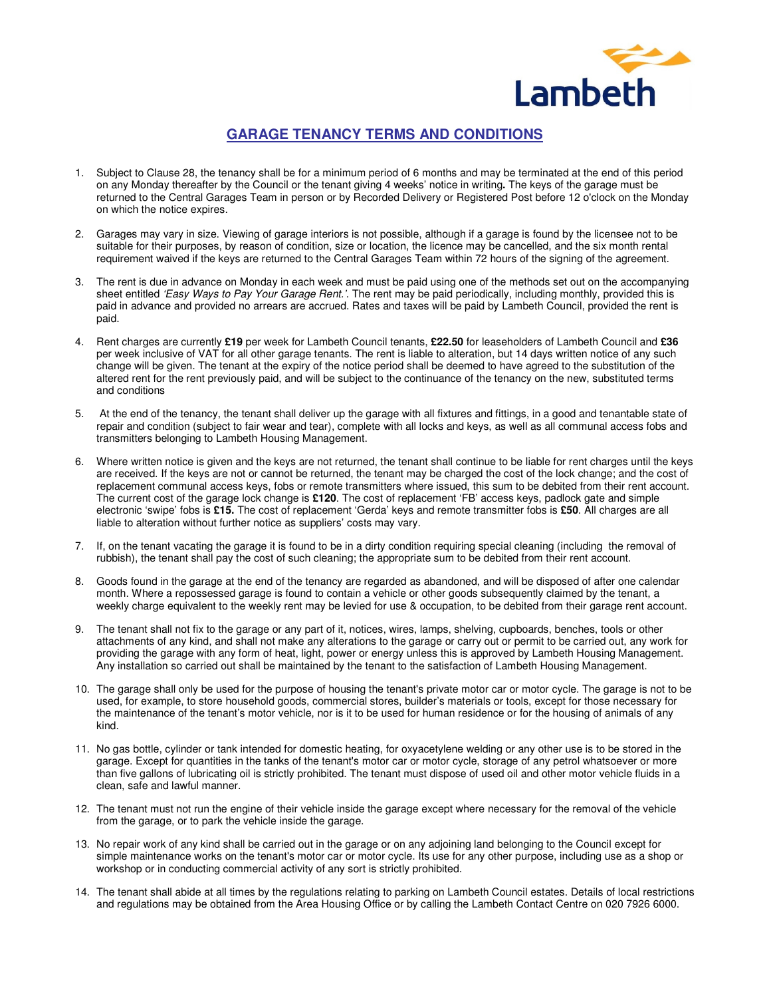

## **GARAGE TENANCY TERMS AND CONDITIONS**

- 1. Subject to Clause 28, the tenancy shall be for a minimum period of 6 months and may be terminated at the end of this period on any Monday thereafter by the Council or the tenant giving 4 weeks' notice in writing**.** The keys of the garage must be returned to the Central Garages Team in person or by Recorded Delivery or Registered Post before 12 o'clock on the Monday on which the notice expires.
- 2. Garages may vary in size. Viewing of garage interiors is not possible, although if a garage is found by the licensee not to be suitable for their purposes, by reason of condition, size or location, the licence may be cancelled, and the six month rental requirement waived if the keys are returned to the Central Garages Team within 72 hours of the signing of the agreement.
- 3. The rent is due in advance on Monday in each week and must be paid using one of the methods set out on the accompanying sheet entitled 'Easy Ways to Pay Your Garage Rent.'. The rent may be paid periodically, including monthly, provided this is paid in advance and provided no arrears are accrued. Rates and taxes will be paid by Lambeth Council, provided the rent is paid.
- 4. Rent charges are currently **£19** per week for Lambeth Council tenants, **£22.50** for leaseholders of Lambeth Council and **£36** per week inclusive of VAT for all other garage tenants. The rent is liable to alteration, but 14 days written notice of any such change will be given. The tenant at the expiry of the notice period shall be deemed to have agreed to the substitution of the altered rent for the rent previously paid, and will be subject to the continuance of the tenancy on the new, substituted terms and conditions
- 5. At the end of the tenancy, the tenant shall deliver up the garage with all fixtures and fittings, in a good and tenantable state of repair and condition (subject to fair wear and tear), complete with all locks and keys, as well as all communal access fobs and transmitters belonging to Lambeth Housing Management.
- 6. Where written notice is given and the keys are not returned, the tenant shall continue to be liable for rent charges until the keys are received. If the keys are not or cannot be returned, the tenant may be charged the cost of the lock change; and the cost of replacement communal access keys, fobs or remote transmitters where issued, this sum to be debited from their rent account. The current cost of the garage lock change is **£120**. The cost of replacement 'FB' access keys, padlock gate and simple electronic 'swipe' fobs is **£15.** The cost of replacement 'Gerda' keys and remote transmitter fobs is **£50**. All charges are all liable to alteration without further notice as suppliers' costs may vary.
- 7. If, on the tenant vacating the garage it is found to be in a dirty condition requiring special cleaning (including the removal of rubbish), the tenant shall pay the cost of such cleaning; the appropriate sum to be debited from their rent account.
- 8. Goods found in the garage at the end of the tenancy are regarded as abandoned, and will be disposed of after one calendar month. Where a repossessed garage is found to contain a vehicle or other goods subsequently claimed by the tenant, a weekly charge equivalent to the weekly rent may be levied for use & occupation, to be debited from their garage rent account.
- 9. The tenant shall not fix to the garage or any part of it, notices, wires, lamps, shelving, cupboards, benches, tools or other attachments of any kind, and shall not make any alterations to the garage or carry out or permit to be carried out, any work for providing the garage with any form of heat, light, power or energy unless this is approved by Lambeth Housing Management. Any installation so carried out shall be maintained by the tenant to the satisfaction of Lambeth Housing Management.
- 10. The garage shall only be used for the purpose of housing the tenant's private motor car or motor cycle. The garage is not to be used, for example, to store household goods, commercial stores, builder's materials or tools, except for those necessary for the maintenance of the tenant's motor vehicle, nor is it to be used for human residence or for the housing of animals of any kind.
- 11. No gas bottle, cylinder or tank intended for domestic heating, for oxyacetylene welding or any other use is to be stored in the garage. Except for quantities in the tanks of the tenant's motor car or motor cycle, storage of any petrol whatsoever or more than five gallons of lubricating oil is strictly prohibited. The tenant must dispose of used oil and other motor vehicle fluids in a clean, safe and lawful manner.
- 12. The tenant must not run the engine of their vehicle inside the garage except where necessary for the removal of the vehicle from the garage, or to park the vehicle inside the garage.
- 13. No repair work of any kind shall be carried out in the garage or on any adjoining land belonging to the Council except for simple maintenance works on the tenant's motor car or motor cycle. Its use for any other purpose, including use as a shop or workshop or in conducting commercial activity of any sort is strictly prohibited.
- 14. The tenant shall abide at all times by the regulations relating to parking on Lambeth Council estates. Details of local restrictions and regulations may be obtained from the Area Housing Office or by calling the Lambeth Contact Centre on 020 7926 6000.